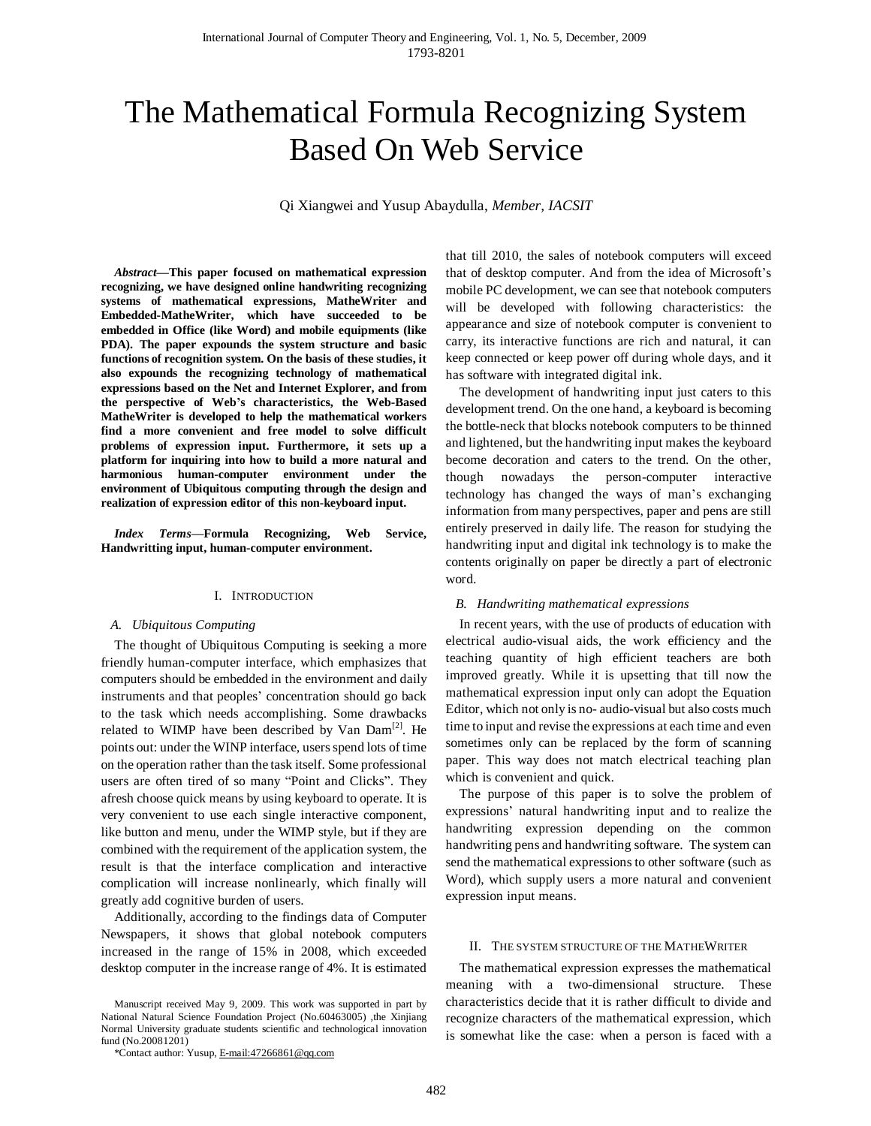# The Mathematical Formula Recognizing System Based On Web Service

Qi Xiangwei and Yusup Abaydulla, *Member, IACSIT*

*Abstract***—This paper focused on mathematical expression recognizing, we have designed online handwriting recognizing systems of mathematical expressions, MatheWriter and Embedded-MatheWriter, which have succeeded to be embedded in Office (like Word) and mobile equipments (like PDA). The paper expounds the system structure and basic functions of recognition system. On the basis of these studies, it also expounds the recognizing technology of mathematical expressions based on the Net and Internet Explorer, and from the perspective of Web's characteristics, the Web-Based MatheWriter is developed to help the mathematical workers find a more convenient and free model to solve difficult problems of expression input. Furthermore, it sets up a platform for inquiring into how to build a more natural and harmonious human-computer environment under the environment of Ubiquitous computing through the design and realization of expression editor of this non-keyboard input.** 

*Index Terms***—Formula Recognizing, Web Service, Handwritting input, human-computer environment.** 

## I. INTRODUCTION

#### *A. Ubiquitous Computing*

The thought of Ubiquitous Computing is seeking a more friendly human-computer interface, which emphasizes that computers should be embedded in the environment and daily instruments and that peoples' concentration should go back to the task which needs accomplishing. Some drawbacks related to WIMP have been described by Van Dam<sup>[2]</sup>. He points out: under the WINP interface, users spend lots of time on the operation rather than the task itself. Some professional users are often tired of so many "Point and Clicks". They afresh choose quick means by using keyboard to operate. It is very convenient to use each single interactive component, like button and menu, under the WIMP style, but if they are combined with the requirement of the application system, the result is that the interface complication and interactive complication will increase nonlinearly, which finally will greatly add cognitive burden of users.

Additionally, according to the findings data of Computer Newspapers, it shows that global notebook computers increased in the range of 15% in 2008, which exceeded desktop computer in the increase range of 4%. It is estimated

Manuscript received May 9, 2009. This work was supported in part by National Natural Science Foundation Project (No.60463005) ,the Xinjiang Normal University graduate students scientific and technological innovation fund (No.20081201)

\*Contact author: Yusup, [E-mail:47266861@qq.com](mailto:E-mail:47266861@qq.com)

that till 2010, the sales of notebook computers will exceed that of desktop computer. And from the idea of Microsoft's mobile PC development, we can see that notebook computers will be developed with following characteristics: the appearance and size of notebook computer is convenient to carry, its interactive functions are rich and natural, it can keep connected or keep power off during whole days, and it has software with integrated digital ink.

The development of handwriting input just caters to this development trend. On the one hand, a keyboard is becoming the bottle-neck that blocks notebook computers to be thinned and lightened, but the handwriting input makes the keyboard become decoration and caters to the trend. On the other, though nowadays the person-computer interactive technology has changed the ways of man's exchanging information from many perspectives, paper and pens are still entirely preserved in daily life. The reason for studying the handwriting input and digital ink technology is to make the contents originally on paper be directly a part of electronic word.

#### *B. Handwriting mathematical expressions*

In recent years, with the use of products of education with electrical audio-visual aids, the work efficiency and the teaching quantity of high efficient teachers are both improved greatly. While it is upsetting that till now the mathematical expression input only can adopt the Equation Editor, which not only is no- audio-visual but also costs much time to input and revise the expressions at each time and even sometimes only can be replaced by the form of scanning paper. This way does not match electrical teaching plan which is convenient and quick.

The purpose of this paper is to solve the problem of expressions' natural handwriting input and to realize the handwriting expression depending on the common handwriting pens and handwriting software. The system can send the mathematical expressions to other software (such as Word), which supply users a more natural and convenient expression input means.

#### II. THE SYSTEM STRUCTURE OF THE MATHEWRITER

The mathematical expression expresses the mathematical meaning with a two-dimensional structure. These characteristics decide that it is rather difficult to divide and recognize characters of the mathematical expression, which is somewhat like the case: when a person is faced with a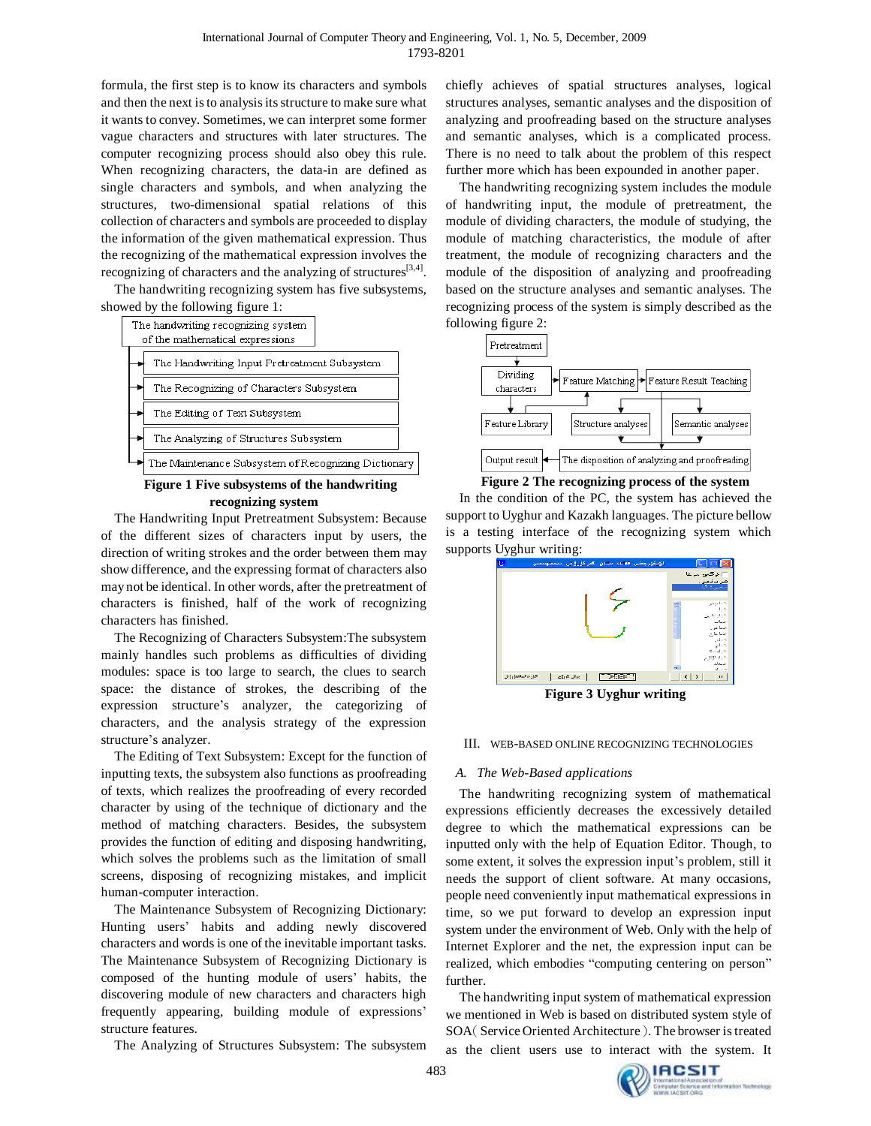formula, the first step is to know its characters and symbols and then the next is to analysis its structure to make sure what it wants to convey. Sometimes, we can interpret some former vague characters and structures with later structures. The computer recognizing process should also obey this rule. When recognizing characters, the data-in are defined as single characters and symbols, and when analyzing the structures, two-dimensional spatial relations of this collection of characters and symbols are proceeded to display the information of the given mathematical expression. Thus the recognizing of the mathematical expression involves the recognizing of characters and the analyzing of structures  $[3,4]$ .

The handwriting recognizing system has five subsystems, showed by the following figure 1:



# **Figure 1 Five subsystems of the handwriting recognizing system**

The Handwriting Input Pretreatment Subsystem: Because of the different sizes of characters input by users, the direction of writing strokes and the order between them may show difference, and the expressing format of characters also may not be identical. In other words, after the pretreatment of characters is finished, half of the work of recognizing characters has finished.

The Recognizing of Characters Subsystem:The subsystem mainly handles such problems as difficulties of dividing modules: space is too large to search, the clues to search space: the distance of strokes, the describing of the expression structure's analyzer, the categorizing of characters, and the analysis strategy of the expression structure's analyzer.

The Editing of Text Subsystem: Except for the function of inputting texts, the subsystem also functions as proofreading of texts, which realizes the proofreading of every recorded character by using of the technique of dictionary and the method of matching characters. Besides, the subsystem provides the function of editing and disposing handwriting, which solves the problems such as the limitation of small screens, disposing of recognizing mistakes, and implicit human-computer interaction.

The Maintenance Subsystem of Recognizing Dictionary: Hunting users' habits and adding newly discovered characters and words is one of the inevitable important tasks. The Maintenance Subsystem of Recognizing Dictionary is composed of the hunting module of users' habits, the discovering module of new characters and characters high frequently appearing, building module of expressions' structure features.

The Analyzing of Structures Subsystem: The subsystem

chiefly achieves of spatial structures analyses, logical structures analyses, semantic analyses and the disposition of analyzing and proofreading based on the structure analyses and semantic analyses, which is a complicated process. There is no need to talk about the problem of this respect further more which has been expounded in another paper.

The handwriting recognizing system includes the module of handwriting input, the module of pretreatment, the module of dividing characters, the module of studying, the module of matching characteristics, the module of after treatment, the module of recognizing characters and the module of the disposition of analyzing and proofreading based on the structure analyses and semantic analyses. The recognizing process of the system is simply described as the following figure 2:



**Figure 2 The recognizing process of the system**

In the condition of the PC, the system has achieved the support to Uyghur and Kazakh languages. The picture bellow is a testing interface of the recognizing system which supports Uyghur writing:



**Figure 3 Uyghur writing**

## III. WEB-BASED ONLINE RECOGNIZING TECHNOLOGIES

## *A. The Web-Based applications*

The handwriting recognizing system of mathematical expressions efficiently decreases the excessively detailed degree to which the mathematical expressions can be inputted only with the help of Equation Editor. Though, to some extent, it solves the expression input's problem, still it needs the support of client software. At many occasions, people need conveniently input mathematical expressions in time, so we put forward to develop an expression input system under the environment of Web. Only with the help of Internet Explorer and the net, the expression input can be realized, which embodies "computing centering on person" further.

The handwriting input system of mathematical expression we mentioned in Web is based on distributed system style of SOA(Service Oriented Architecture). The browser is treated as the client users use to interact with the system. It

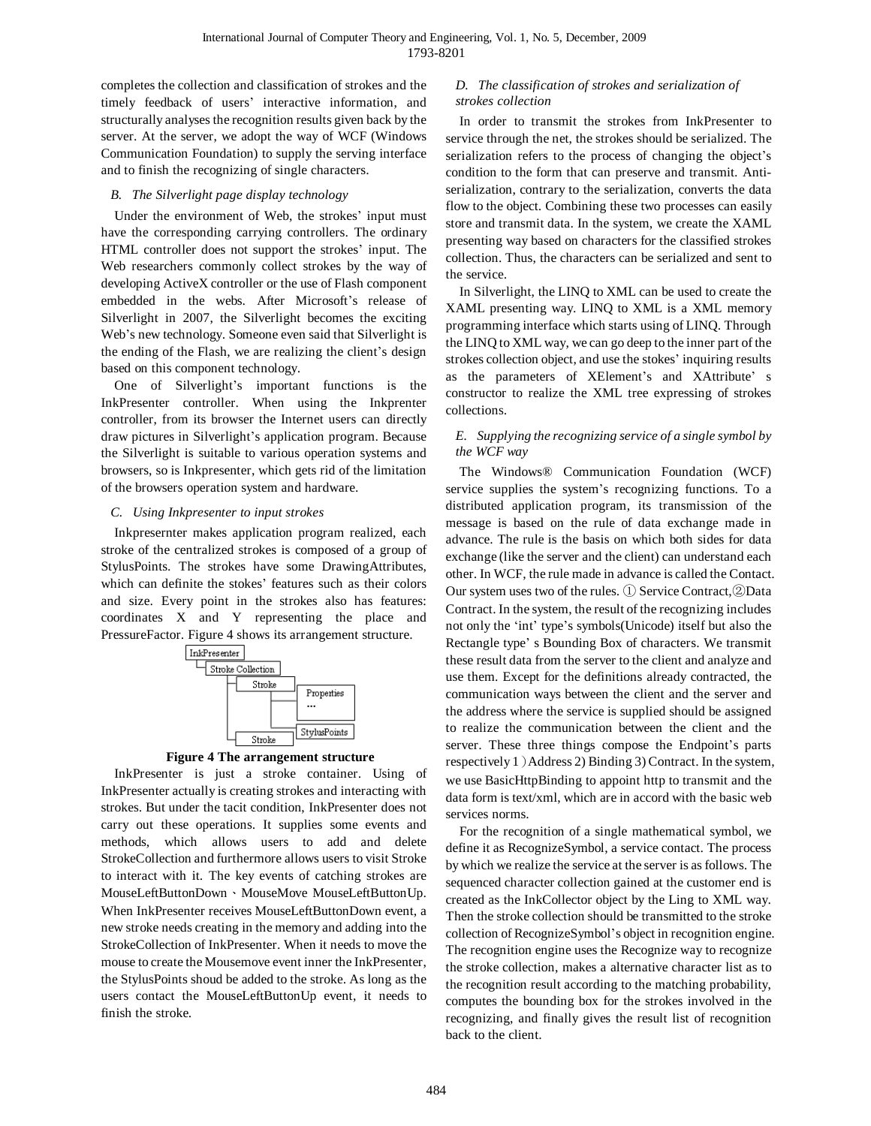completes the collection and classification of strokes and the timely feedback of users' interactive information, and structurally analyses the recognition results given back by the server. At the server, we adopt the way of WCF (Windows Communication Foundation) to supply the serving interface and to finish the recognizing of single characters.

# *B. The Silverlight page display technology*

Under the environment of Web, the strokes' input must have the corresponding carrying controllers. The ordinary HTML controller does not support the strokes' input. The Web researchers commonly collect strokes by the way of developing ActiveX controller or the use of Flash component embedded in the webs. After Microsoft's release of Silverlight in 2007, the Silverlight becomes the exciting Web's new technology. Someone even said that Silverlight is the ending of the Flash, we are realizing the client's design based on this component technology.

One of Silverlight's important functions is the InkPresenter controller. When using the Inkprenter controller, from its browser the Internet users can directly draw pictures in Silverlight's application program. Because the Silverlight is suitable to various operation systems and browsers, so is Inkpresenter, which gets rid of the limitation of the browsers operation system and hardware.

# *C. Using Inkpresenter to input strokes*

Inkpresernter makes application program realized, each stroke of the centralized strokes is composed of a group of StylusPoints. The strokes have some DrawingAttributes, which can definite the stokes' features such as their colors and size. Every point in the strokes also has features: coordinates X and Y representing the place and PressureFactor. Figure 4 shows its arrangement structure.



## **Figure 4 The arrangement structure**

InkPresenter is just a stroke container. Using of InkPresenter actually is creating strokes and interacting with strokes. But under the tacit condition, InkPresenter does not carry out these operations. It supplies some events and methods, which allows users to add and delete StrokeCollection and furthermore allows users to visit Stroke to interact with it. The key events of catching strokes are MouseLeftButtonDown、MouseMove MouseLeftButtonUp. When InkPresenter receives MouseLeftButtonDown event, a new stroke needs creating in the memory and adding into the StrokeCollection of InkPresenter. When it needs to move the mouse to create the Mousemove event inner the InkPresenter, the StylusPoints shoud be added to the stroke. As long as the users contact the MouseLeftButtonUp event, it needs to finish the stroke.

# *D. The classification of strokes and serialization of strokes collection*

In order to transmit the strokes from InkPresenter to service through the net, the strokes should be serialized. The serialization refers to the process of changing the object's condition to the form that can preserve and transmit. Antiserialization, contrary to the serialization, converts the data flow to the object. Combining these two processes can easily store and transmit data. In the system, we create the XAML presenting way based on characters for the classified strokes collection. Thus, the characters can be serialized and sent to the service.

In Silverlight, the LINQ to XML can be used to create the XAML presenting way. LINQ to XML is a XML memory programming interface which starts using of LINQ. Through the LINQ to XML way, we can go deep to the inner part of the strokes collection object, and use the stokes' inquiring results as the parameters of XElement's and XAttribute' s constructor to realize the XML tree expressing of strokes collections.

# *E. Supplying the recognizing service of a single symbol by the WCF way*

The Windows® Communication Foundation (WCF) service supplies the system's recognizing functions. To a distributed application program, its transmission of the message is based on the rule of data exchange made in advance. The rule is the basis on which both sides for data exchange (like the server and the client) can understand each other. In WCF, the rule made in advance is called the Contact. Our system uses two of the rules. ① Service Contract,②Data Contract. In the system, the result of the recognizing includes not only the 'int' type's symbols(Unicode) itself but also the Rectangle type' s Bounding Box of characters. We transmit these result data from the server to the client and analyze and use them. Except for the definitions already contracted, the communication ways between the client and the server and the address where the service is supplied should be assigned to realize the communication between the client and the server. These three things compose the Endpoint's parts respectively 1)Address 2) Binding 3) Contract. In the system, we use BasicHttpBinding to appoint http to transmit and the data form is text/xml, which are in accord with the basic web services norms.

For the recognition of a single mathematical symbol, we define it as RecognizeSymbol, a service contact. The process by which we realize the service at the server is as follows. The sequenced character collection gained at the customer end is created as the InkCollector object by the Ling to XML way. Then the stroke collection should be transmitted to the stroke collection of RecognizeSymbol's object in recognition engine. The recognition engine uses the Recognize way to recognize the stroke collection, makes a alternative character list as to the recognition result according to the matching probability, computes the bounding box for the strokes involved in the recognizing, and finally gives the result list of recognition back to the client.